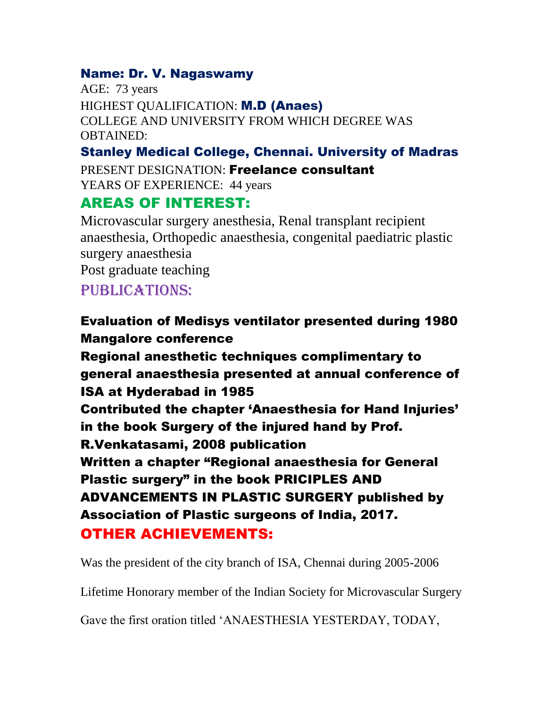#### Name: Dr. V. Nagaswamy

AGE: 73 years HIGHEST QUALIFICATION: M.D (Anaes) COLLEGE AND UNIVERSITY FROM WHICH DEGREE WAS OBTAINED:

### Stanley Medical College, Chennai. University of Madras

PRESENT DESIGNATION: Freelance consultant

YEARS OF EXPERIENCE: 44 years

## AREAS OF INTEREST:

Microvascular surgery anesthesia, Renal transplant recipient anaesthesia, Orthopedic anaesthesia, congenital paediatric plastic surgery anaesthesia Post graduate teaching

# PUBLICATIONS:

## Evaluation of Medisys ventilator presented during 1980 Mangalore conference

Regional anesthetic techniques complimentary to general anaesthesia presented at annual conference of ISA at Hyderabad in 1985 Contributed the chapter 'Anaesthesia for Hand Injuries'

in the book Surgery of the injured hand by Prof.

R.Venkatasami, 2008 publication

Written a chapter "Regional anaesthesia for General Plastic surgery" in the book PRICIPLES AND ADVANCEMENTS IN PLASTIC SURGERY published by Association of Plastic surgeons of India, 2017. OTHER ACHIEVEMENTS:

Was the president of the city branch of ISA, Chennai during 2005-2006

Lifetime Honorary member of the Indian Society for Microvascular Surgery

Gave the first oration titled 'ANAESTHESIA YESTERDAY, TODAY,